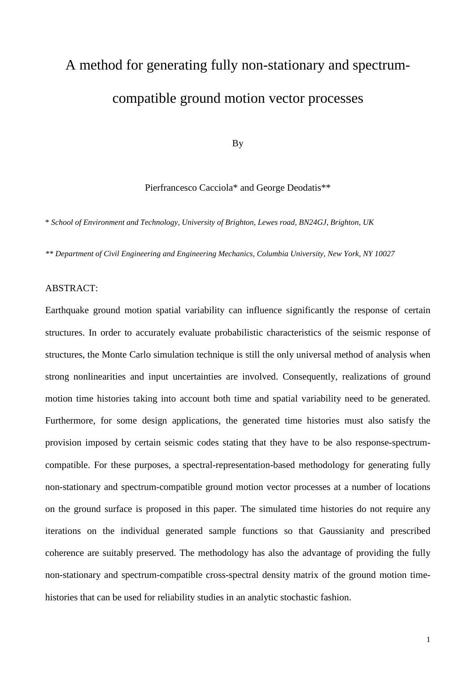# A method for generating fully non-stationary and spectrumcompatible ground motion vector processes

By

Pierfrancesco Cacciola\* and George Deodatis\*\*

\* *School of Environment and Technology, University of Brighton, Lewes road, BN24GJ, Brighton, UK*

*\*\* Department of Civil Engineering and Engineering Mechanics, Columbia University, New York, NY 10027*

### ABSTRACT:

Earthquake ground motion spatial variability can influence significantly the response of certain structures. In order to accurately evaluate probabilistic characteristics of the seismic response of structures, the Monte Carlo simulation technique is still the only universal method of analysis when strong nonlinearities and input uncertainties are involved. Consequently, realizations of ground motion time histories taking into account both time and spatial variability need to be generated. Furthermore, for some design applications, the generated time histories must also satisfy the provision imposed by certain seismic codes stating that they have to be also response-spectrumcompatible. For these purposes, a spectral-representation-based methodology for generating fully non-stationary and spectrum-compatible ground motion vector processes at a number of locations on the ground surface is proposed in this paper. The simulated time histories do not require any iterations on the individual generated sample functions so that Gaussianity and prescribed coherence are suitably preserved. The methodology has also the advantage of providing the fully non-stationary and spectrum-compatible cross-spectral density matrix of the ground motion timehistories that can be used for reliability studies in an analytic stochastic fashion.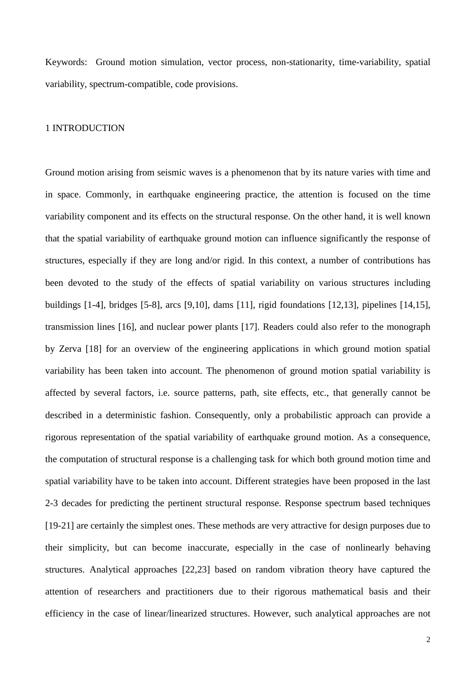Keywords: Ground motion simulation, vector process, non-stationarity, time-variability, spatial variability, spectrum-compatible, code provisions.

### 1 INTRODUCTION

Ground motion arising from seismic waves is a phenomenon that by its nature varies with time and in space. Commonly, in earthquake engineering practice, the attention is focused on the time variability component and its effects on the structural response. On the other hand, it is well known that the spatial variability of earthquake ground motion can influence significantly the response of structures, especially if they are long and/or rigid. In this context, a number of contributions has been devoted to the study of the effects of spatial variability on various structures including buildings [1-4], bridges [5-8], arcs [9,10], dams [11], rigid foundations [12,13], pipelines [14,15], transmission lines [16], and nuclear power plants [17]. Readers could also refer to the monograph by Zerva [18] for an overview of the engineering applications in which ground motion spatial variability has been taken into account. The phenomenon of ground motion spatial variability is affected by several factors, i.e. source patterns, path, site effects, etc., that generally cannot be described in a deterministic fashion. Consequently, only a probabilistic approach can provide a rigorous representation of the spatial variability of earthquake ground motion. As a consequence, the computation of structural response is a challenging task for which both ground motion time and spatial variability have to be taken into account. Different strategies have been proposed in the last 2-3 decades for predicting the pertinent structural response. Response spectrum based techniques [19-21] are certainly the simplest ones. These methods are very attractive for design purposes due to their simplicity, but can become inaccurate, especially in the case of nonlinearly behaving structures. Analytical approaches [22,23] based on random vibration theory have captured the attention of researchers and practitioners due to their rigorous mathematical basis and their efficiency in the case of linear/linearized structures. However, such analytical approaches are not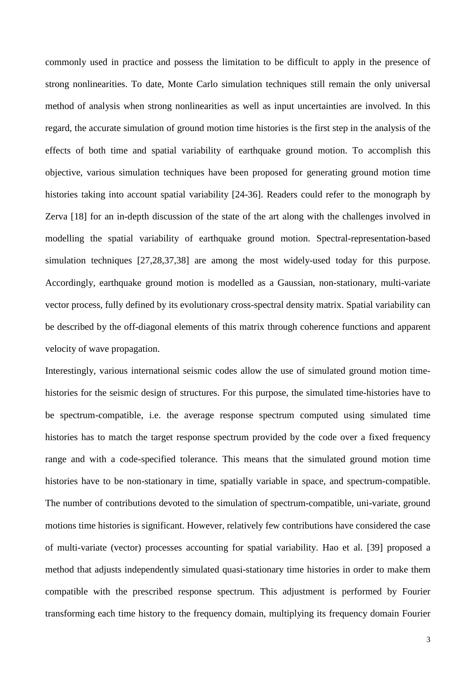commonly used in practice and possess the limitation to be difficult to apply in the presence of strong nonlinearities. To date, Monte Carlo simulation techniques still remain the only universal method of analysis when strong nonlinearities as well as input uncertainties are involved. In this regard, the accurate simulation of ground motion time histories is the first step in the analysis of the effects of both time and spatial variability of earthquake ground motion. To accomplish this objective, various simulation techniques have been proposed for generating ground motion time histories taking into account spatial variability [24-36]. Readers could refer to the monograph by Zerva [18] for an in-depth discussion of the state of the art along with the challenges involved in modelling the spatial variability of earthquake ground motion. Spectral-representation-based simulation techniques [27,28,37,38] are among the most widely-used today for this purpose. Accordingly, earthquake ground motion is modelled as a Gaussian, non-stationary, multi-variate vector process, fully defined by its evolutionary cross-spectral density matrix. Spatial variability can be described by the off-diagonal elements of this matrix through coherence functions and apparent velocity of wave propagation.

Interestingly, various international seismic codes allow the use of simulated ground motion timehistories for the seismic design of structures. For this purpose, the simulated time-histories have to be spectrum-compatible, i.e. the average response spectrum computed using simulated time histories has to match the target response spectrum provided by the code over a fixed frequency range and with a code-specified tolerance. This means that the simulated ground motion time histories have to be non-stationary in time, spatially variable in space, and spectrum-compatible. The number of contributions devoted to the simulation of spectrum-compatible, uni-variate, ground motions time histories is significant. However, relatively few contributions have considered the case of multi-variate (vector) processes accounting for spatial variability. Hao et al. [39] proposed a method that adjusts independently simulated quasi-stationary time histories in order to make them compatible with the prescribed response spectrum. This adjustment is performed by Fourier transforming each time history to the frequency domain, multiplying its frequency domain Fourier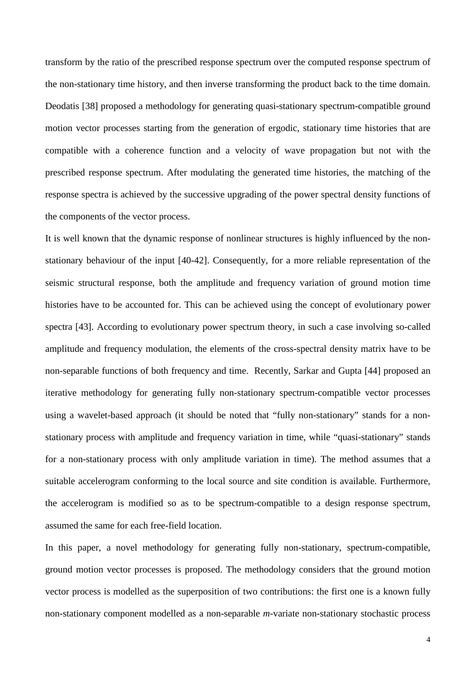transform by the ratio of the prescribed response spectrum over the computed response spectrum of the non-stationary time history, and then inverse transforming the product back to the time domain. Deodatis [38] proposed a methodology for generating quasi-stationary spectrum-compatible ground motion vector processes starting from the generation of ergodic, stationary time histories that are compatible with a coherence function and a velocity of wave propagation but not with the prescribed response spectrum. After modulating the generated time histories, the matching of the response spectra is achieved by the successive upgrading of the power spectral density functions of the components of the vector process.

It is well known that the dynamic response of nonlinear structures is highly influenced by the nonstationary behaviour of the input [40-42]. Consequently, for a more reliable representation of the seismic structural response, both the amplitude and frequency variation of ground motion time histories have to be accounted for. This can be achieved using the concept of evolutionary power spectra [43]. According to evolutionary power spectrum theory, in such a case involving so-called amplitude and frequency modulation, the elements of the cross-spectral density matrix have to be non-separable functions of both frequency and time. Recently, Sarkar and Gupta [44] proposed an iterative methodology for generating fully non-stationary spectrum-compatible vector processes using a wavelet-based approach (it should be noted that "fully non-stationary" stands for a nonstationary process with amplitude and frequency variation in time, while "quasi-stationary" stands for a non-stationary process with only amplitude variation in time). The method assumes that a suitable accelerogram conforming to the local source and site condition is available. Furthermore, the accelerogram is modified so as to be spectrum-compatible to a design response spectrum, assumed the same for each free-field location.

In this paper, a novel methodology for generating fully non-stationary, spectrum-compatible, ground motion vector processes is proposed. The methodology considers that the ground motion vector process is modelled as the superposition of two contributions: the first one is a known fully non-stationary component modelled as a non-separable *m*-variate non-stationary stochastic process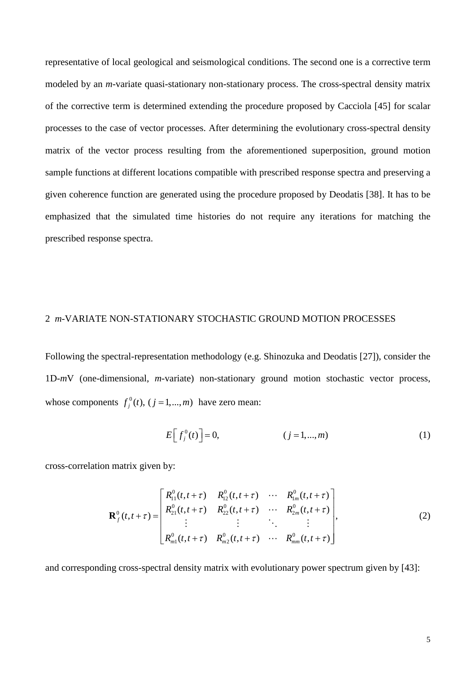representative of local geological and seismological conditions. The second one is a corrective term modeled by an *m*-variate quasi-stationary non-stationary process. The cross-spectral density matrix of the corrective term is determined extending the procedure proposed by Cacciola [45] for scalar processes to the case of vector processes. After determining the evolutionary cross-spectral density matrix of the vector process resulting from the aforementioned superposition, ground motion sample functions at different locations compatible with prescribed response spectra and preserving a given coherence function are generated using the procedure proposed by Deodatis [38]. It has to be emphasized that the simulated time histories do not require any iterations for matching the prescribed response spectra.

### 2 *m*-VARIATE NON-STATIONARY STOCHASTIC GROUND MOTION PROCESSES

Following the spectral-representation methodology (e.g. Shinozuka and Deodatis [27]), consider the 1D-*m*V (one-dimensional, *m*-variate) non-stationary ground motion stochastic vector process, whose components  $f_j^0(t)$ ,  $(j = 1,..., m)$  have zero mean:

$$
E\left[f_j^0(t)\right] = 0,\qquad (j = 1,\dots,m) \tag{1}
$$

cross-correlation matrix given by:

$$
\mathbf{R}_{f}^{0}(t,t+\tau) = \begin{bmatrix} R_{11}^{0}(t,t+\tau) & R_{12}^{0}(t,t+\tau) & \cdots & R_{1m}^{0}(t,t+\tau) \\ R_{21}^{0}(t,t+\tau) & R_{22}^{0}(t,t+\tau) & \cdots & R_{2m}^{0}(t,t+\tau) \\ \vdots & \vdots & \ddots & \vdots \\ R_{m1}^{0}(t,t+\tau) & R_{m2}^{0}(t,t+\tau) & \cdots & R_{mm}^{0}(t,t+\tau) \end{bmatrix},
$$
\n(2)

and corresponding cross-spectral density matrix with evolutionary power spectrum given by [43]: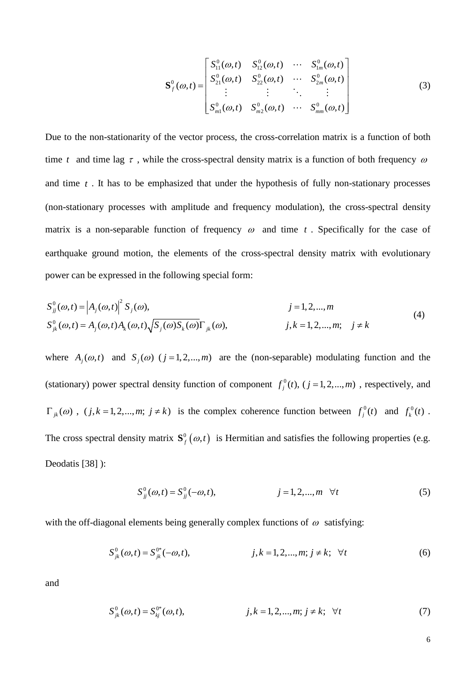$$
\mathbf{S}_{f}^{0}(\omega,t) = \begin{bmatrix} S_{11}^{0}(\omega,t) & S_{12}^{0}(\omega,t) & \cdots & S_{1m}^{0}(\omega,t) \\ S_{21}^{0}(\omega,t) & S_{22}^{0}(\omega,t) & \cdots & S_{2m}^{0}(\omega,t) \\ \vdots & \vdots & \ddots & \vdots \\ S_{m1}^{0}(\omega,t) & S_{m2}^{0}(\omega,t) & \cdots & S_{mm}^{0}(\omega,t) \end{bmatrix}
$$
(3)

Due to the non-stationarity of the vector process, the cross-correlation matrix is a function of both time *t* and time lag  $\tau$ , while the cross-spectral density matrix is a function of both frequency  $\omega$ and time *t* . It has to be emphasized that under the hypothesis of fully non-stationary processes (non-stationary processes with amplitude and frequency modulation), the cross-spectral density matrix is a non-separable function of frequency  $\omega$  and time  $t$ . Specifically for the case of earthquake ground motion, the elements of the cross-spectral density matrix with evolutionary power can be expressed in the following special form:

$$
S_{ji}^{0}(\omega, t) = |A_{j}(\omega, t)|^{2} S_{j}(\omega), \qquad j = 1, 2, ..., m
$$
  
\n
$$
S_{jk}^{0}(\omega, t) = A_{j}(\omega, t) A_{k}(\omega, t) \sqrt{S_{j}(\omega) S_{k}(\omega)} \Gamma_{jk}(\omega), \qquad j, k = 1, 2, ..., m; \quad j \neq k
$$
\n(4)

where  $A_j(\omega, t)$  and  $S_j(\omega)$  ( $j = 1, 2, ..., m$ ) are the (non-separable) modulating function and the (stationary) power spectral density function of component  $f_j^0(t)$ ,  $(j = 1, 2, ..., m)$ , respectively, and  $\Gamma_{jk}(\omega)$ ,  $(j, k = 1, 2, ..., m; j \neq k)$  is the complex coherence function between  $f_j^0(t)$  and  $f_k^0(t)$ . The cross spectral density matrix  $S_f^0(\omega, t)$  is Hermitian and satisfies the following properties (e.g. Deodatis [38] ):

$$
S_{jj}^{0}(\omega, t) = S_{jj}^{0}(-\omega, t), \qquad j = 1, 2, ..., m \quad \forall t
$$
 (5)

with the off-diagonal elements being generally complex functions of  $\omega$  satisfying:

$$
S_{jk}^{0}(\omega, t) = S_{jk}^{0*}(-\omega, t), \qquad j, k = 1, 2, ..., m; j \neq k; \forall t
$$
 (6)

and

$$
S_{jk}^{0}(\omega, t) = S_{kj}^{0*}(\omega, t), \qquad j, k = 1, 2, ..., m; j \neq k; \forall t
$$
 (7)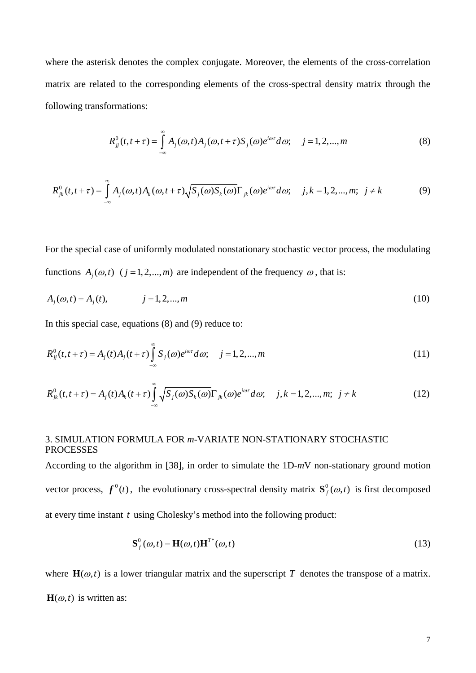where the asterisk denotes the complex conjugate. Moreover, the elements of the cross-correlation matrix are related to the corresponding elements of the cross-spectral density matrix through the following transformations:

$$
R_{jj}^{0}(t,t+\tau) = \int_{-\infty}^{\infty} A_j(\omega,t)A_j(\omega,t+\tau)S_j(\omega)e^{i\omega\tau}d\omega; \quad j=1,2,...,m
$$
\n(8)

$$
R_{jk}^{0}(t,t+\tau) = \int_{-\infty}^{\infty} A_j(\omega,t) A_k(\omega,t+\tau) \sqrt{S_j(\omega) S_k(\omega)} \Gamma_{jk}(\omega) e^{i\omega \tau} d\omega; \quad j,k = 1,2,...,m; \quad j \neq k
$$
 (9)

For the special case of uniformly modulated nonstationary stochastic vector process, the modulating functions  $A_i(\omega, t)$   $(j = 1, 2, ..., m)$  are independent of the frequency  $\omega$ , that is:

$$
A_j(\omega, t) = A_j(t), \qquad j = 1, 2, ..., m \tag{10}
$$

In this special case, equations (8) and (9) reduce to:

$$
R_{jj}^{0}(t, t + \tau) = A_{j}(t)A_{j}(t + \tau) \int_{-\infty}^{\infty} S_{j}(\omega)e^{i\omega \tau} d\omega; \quad j = 1, 2, ..., m
$$
\n(11)

$$
R_{jk}^{0}(t,t+\tau) = A_j(t)A_k(t+\tau)\int_{-\infty}^{\infty}\sqrt{S_j(\omega)S_k(\omega)}\Gamma_{jk}(\omega)e^{i\omega\tau}d\omega; \quad j,k = 1,2,...,m; \quad j \neq k
$$
 (12)

# 3. SIMULATION FORMULA FOR *m*-VARIATE NON-STATIONARY STOCHASTIC PROCESSES

According to the algorithm in [38], in order to simulate the 1D-*m*V non-stationary ground motion vector process,  $f^0(t)$ , the evolutionary cross-spectral density matrix  $S_f^0(\omega, t)$  is first decomposed at every time instant *t* using Cholesky's method into the following product:

$$
\mathbf{S}_f^0(\omega, t) = \mathbf{H}(\omega, t) \mathbf{H}^{T^*}(\omega, t)
$$
\n(13)

where  $\mathbf{H}(\omega,t)$  is a lower triangular matrix and the superscript *T* denotes the transpose of a matrix.  $H(\omega, t)$  is written as: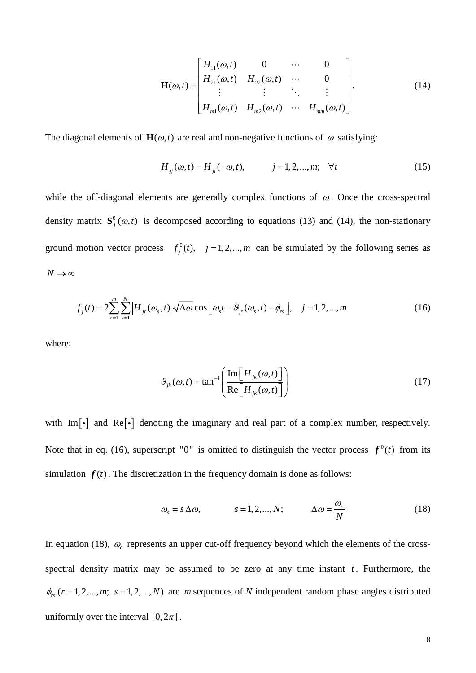$$
\mathbf{H}(\omega,t) = \begin{bmatrix} H_{11}(\omega,t) & 0 & \cdots & 0 \\ H_{21}(\omega,t) & H_{22}(\omega,t) & \cdots & 0 \\ \vdots & \vdots & \ddots & \vdots \\ H_{m1}(\omega,t) & H_{m2}(\omega,t) & \cdots & H_{mm}(\omega,t) \end{bmatrix}.
$$
 (14)

The diagonal elements of  $\mathbf{H}(\omega,t)$  are real and non-negative functions of  $\omega$  satisfying:

$$
H_{jj}(\omega, t) = H_{jj}(-\omega, t), \qquad j = 1, 2, ..., m; \quad \forall t
$$
 (15)

while the off-diagonal elements are generally complex functions of  $\omega$ . Once the cross-spectral density matrix  $S_f^0(\omega, t)$  is decomposed according to equations (13) and (14), the non-stationary ground motion vector process  $f_j^0(t)$ ,  $j = 1, 2, ..., m$  can be simulated by the following series as  $N \rightarrow ∞$ 

$$
f_j(t) = 2\sum_{r=1}^m \sum_{s=1}^N \left| H_{jr}(\omega_s, t) \right| \sqrt{\Delta \omega} \cos \left[ \omega_s t - \vartheta_{jr}(\omega_s, t) + \phi_{rs} \right], \quad j = 1, 2, ..., m \tag{16}
$$

where:

$$
\mathcal{G}_{jk}(\omega, t) = \tan^{-1} \left( \frac{\text{Im} \left[ H_{jk}(\omega, t) \right]}{\text{Re} \left[ H_{jk}(\omega, t) \right]} \right)
$$
(17)

with  $\text{Im}[\cdot]$  and  $\text{Re}[\cdot]$  denoting the imaginary and real part of a complex number, respectively. Note that in eq. (16), superscript "0" is omitted to distinguish the vector process  $f^0(t)$  from its simulation  $f(t)$ . The discretization in the frequency domain is done as follows:

$$
\omega_s = s \Delta \omega,
$$
\n $s = 1, 2, ..., N;$ \n $\Delta \omega = \frac{\omega_c}{N}$ \n(18)

In equation (18),  $\omega_c$  represents an upper cut-off frequency beyond which the elements of the crossspectral density matrix may be assumed to be zero at any time instant  $t$ . Furthermore, the  $\phi_{rs}$  ( $r = 1, 2, \ldots, m$ ;  $s = 1, 2, \ldots, N$ ) are *m* sequences of *N* independent random phase angles distributed uniformly over the interval  $[0, 2\pi]$ .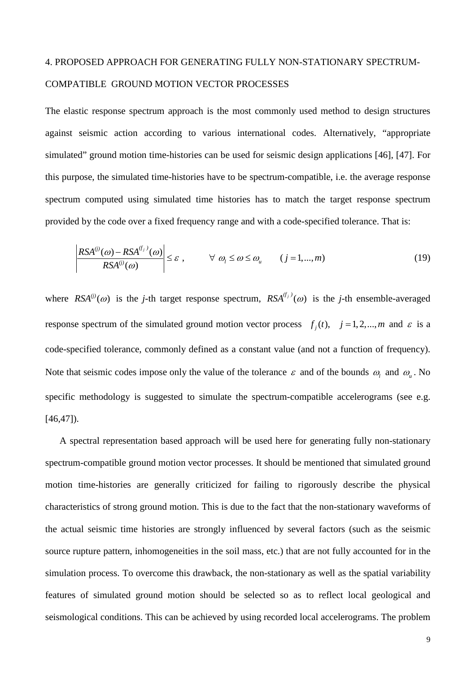# 4. PROPOSED APPROACH FOR GENERATING FULLY NON-STATIONARY SPECTRUM-COMPATIBLE GROUND MOTION VECTOR PROCESSES

The elastic response spectrum approach is the most commonly used method to design structures against seismic action according to various international codes. Alternatively, "appropriate simulated" ground motion time-histories can be used for seismic design applications [46], [47]. For this purpose, the simulated time-histories have to be spectrum-compatible, i.e. the average response spectrum computed using simulated time histories has to match the target response spectrum provided by the code over a fixed frequency range and with a code-specified tolerance. That is:

$$
\left| \frac{RSA^{(j)}(\omega) - RSA^{(f_j)}(\omega)}{RSA^{(j)}(\omega)} \right| \leq \varepsilon , \qquad \forall \omega_l \leq \omega \leq \omega_u \qquad (j = 1,...,m)
$$
\n(19)

where  $RSA^{(j)}(ω)$  is the *j*-th target response spectrum,  $RSA^{(f_j)}(ω)$  is the *j*-th ensemble-averaged response spectrum of the simulated ground motion vector process  $f_j(t)$ ,  $j = 1, 2, \dots, m$  and  $\varepsilon$  is a code-specified tolerance, commonly defined as a constant value (and not a function of frequency). Note that seismic codes impose only the value of the tolerance  $\varepsilon$  and of the bounds  $\omega$ , and  $\omega$ . No specific methodology is suggested to simulate the spectrum-compatible accelerograms (see e.g. [46,47]).

 A spectral representation based approach will be used here for generating fully non-stationary spectrum-compatible ground motion vector processes. It should be mentioned that simulated ground motion time-histories are generally criticized for failing to rigorously describe the physical characteristics of strong ground motion. This is due to the fact that the non-stationary waveforms of the actual seismic time histories are strongly influenced by several factors (such as the seismic source rupture pattern, inhomogeneities in the soil mass, etc.) that are not fully accounted for in the simulation process. To overcome this drawback, the non-stationary as well as the spatial variability features of simulated ground motion should be selected so as to reflect local geological and seismological conditions. This can be achieved by using recorded local accelerograms. The problem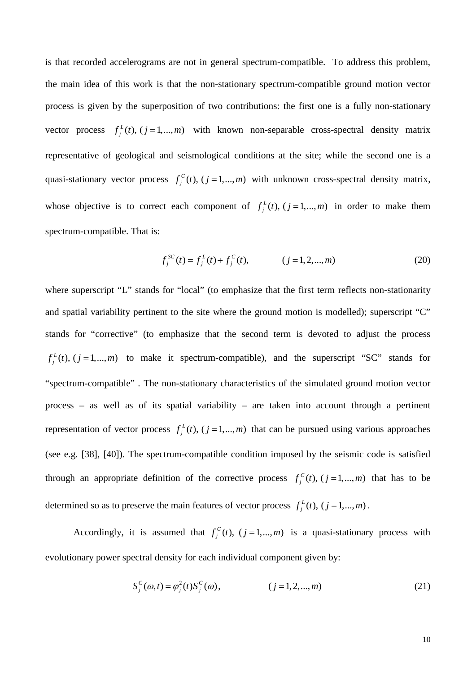is that recorded accelerograms are not in general spectrum-compatible. To address this problem, the main idea of this work is that the non-stationary spectrum-compatible ground motion vector process is given by the superposition of two contributions: the first one is a fully non-stationary vector process  $f_j^L(t)$ ,  $(j = 1,..., m)$  with known non-separable cross-spectral density matrix representative of geological and seismological conditions at the site; while the second one is a quasi-stationary vector process  $f_j^C(t)$ ,  $(j = 1,..., m)$  with unknown cross-spectral density matrix, whose objective is to correct each component of  $f_j^L(t)$ ,  $(j = 1,..., m)$  in order to make them spectrum-compatible. That is:

$$
f_j^{SC}(t) = f_j^L(t) + f_j^C(t), \qquad (j = 1, 2, \dots, m)
$$
 (20)

where superscript "L" stands for "local" (to emphasize that the first term reflects non-stationarity and spatial variability pertinent to the site where the ground motion is modelled); superscript "C" stands for "corrective" (to emphasize that the second term is devoted to adjust the process  $f_j^L(t)$ ,  $(j = 1,...,m)$  to make it spectrum-compatible), and the superscript "SC" stands for "spectrum-compatible" . The non-stationary characteristics of the simulated ground motion vector process – as well as of its spatial variability – are taken into account through a pertinent representation of vector process  $f_j^L(t)$ ,  $(j = 1,..., m)$  that can be pursued using various approaches (see e.g. [38], [40]). The spectrum-compatible condition imposed by the seismic code is satisfied through an appropriate definition of the corrective process  $f_j^C(t)$ ,  $(j = 1,..., m)$  that has to be determined so as to preserve the main features of vector process  $f_j^L(t)$ ,  $(j = 1,..., m)$ .

Accordingly, it is assumed that  $f_j^C(t)$ ,  $(j = 1,..., m)$  is a quasi-stationary process with evolutionary power spectral density for each individual component given by:

$$
S_j^C(\omega, t) = \varphi_j^2(t) S_j^C(\omega), \qquad (j = 1, 2, ..., m)
$$
 (21)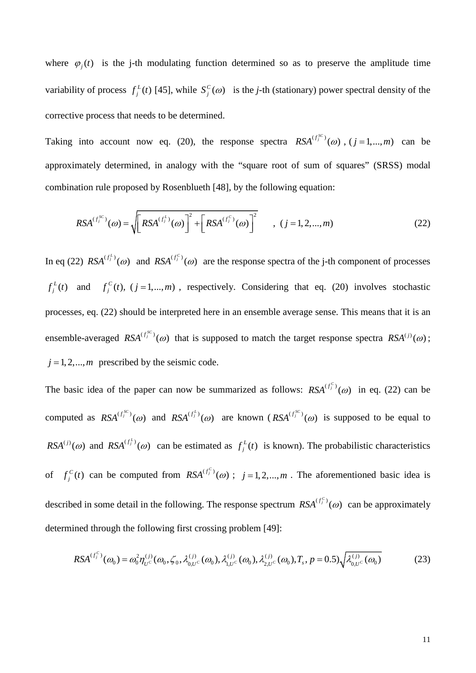where  $\varphi_i(t)$  is the j-th modulating function determined so as to preserve the amplitude time variability of process  $f_j^L(t)$  [45], while  $S_j^C(\omega)$  is the *j*-th (stationary) power spectral density of the corrective process that needs to be determined.

Taking into account now eq. (20), the response spectra  $RSA^{(f_j^{sc})}(\omega)$ ,  $(j = 1,...,m)$  can be approximately determined, in analogy with the "square root of sum of squares" (SRSS) modal combination rule proposed by Rosenblueth [48], by the following equation:

$$
RSA^{(f_j^{SC})}(\omega) = \sqrt{[RSA^{(f_j^{L})}(\omega)]}^2 + [RSA^{(f_j^{C})}(\omega)]^2 \qquad , (j = 1, 2, ..., m)
$$
 (22)

In eq (22)  $RSA^{(f_i^L)}(0)$  and  $RSA^{(f_j^C)}(0)$  are the response spectra of the j-th component of processes  $f_j^L(t)$  and  $f_j^C(t)$ ,  $(j = 1,..., m)$ , respectively. Considering that eq. (20) involves stochastic processes, eq. (22) should be interpreted here in an ensemble average sense. This means that it is an ensemble-averaged  $RSA^{(f_j^{SC})}(\omega)$  that is supposed to match the target response spectra  $RSA^{(j)}(\omega)$ ;  $j = 1, 2, \dots, m$  prescribed by the seismic code.

The basic idea of the paper can now be summarized as follows:  $RSA^{(f_j^C)}(\omega)$  in eq. (22) can be computed as  $RSA^{(f_j^{SC})}(\omega)$  and  $RSA^{(f_j^{LC})}(\omega)$  are known  $(RSA^{(f_j^{SC})}(\omega)$  is supposed to be equal to  $RSA^{(j)}(\omega)$  and  $RSA^{(f_j^L)}(\omega)$  can be estimated as  $f_j^L(t)$  is known). The probabilistic characteristics of  $f_j^C(t)$  can be computed from  $RSA^{(f_j^C)}(0)$ ;  $j = 1, 2, ..., m$ . The aforementioned basic idea is described in some detail in the following. The response spectrum  $RSA^{(f_j^C)}(\omega)$  can be approximately determined through the following first crossing problem [49]:

$$
RSA^{(f_j^C)}(\omega_0) = \omega_0^2 \eta_{U^C}^{(j)}(\omega_0, \zeta_0, \lambda_{0,U^C}^{(j)}(\omega_0), \lambda_{1,U^C}^{(j)}(\omega_0), \lambda_{2,U^C}^{(j)}(\omega_0), T_s, p = 0.5) \sqrt{\lambda_{0,U^C}^{(j)}(\omega_0)}
$$
(23)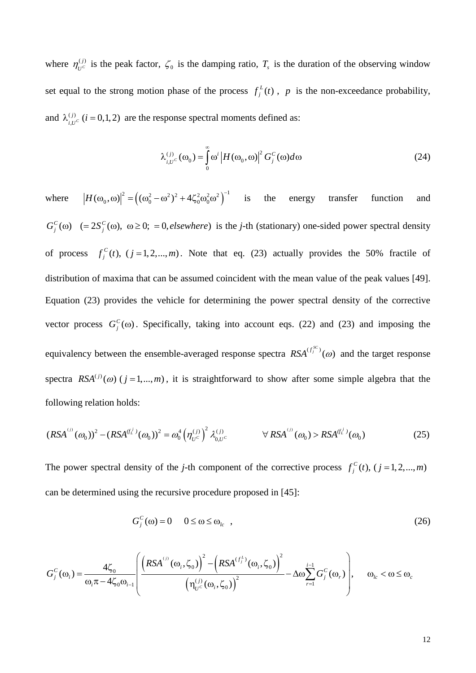where  $\eta_{U^c}^{(j)}$  is the peak factor,  $\zeta_0$  is the damping ratio,  $T_s$  is the duration of the observing window set equal to the strong motion phase of the process  $f_j^L(t)$ , p is the non-exceedance probability, and  $\lambda_{i,U}^{(j)}$  ( $i = 0,1,2$ ) are the response spectral moments defined as:

$$
\lambda_{i,U^{c}}^{(j)}(\omega_{0}) = \int_{0}^{\infty} \omega^{i} |H(\omega_{0}, \omega)|^{2} G_{j}^{C}(\omega) d\omega
$$
\n(24)

where  $\left| H(\omega_0, \omega) \right|^2 = \left( (\omega_0^2 - \omega^2)^2 + 4\zeta_0^2 \omega_0^2 \omega^2 \right)^{-1}$  is the energy transfer function and  $G_j^C(\omega)$  (= 2 $S_j^C(\omega)$ ,  $\omega \ge 0$ ; = 0, elsewhere) is the *j*-th (stationary) one-sided power spectral density of process  $f_j^C(t)$ ,  $(j = 1, 2, ..., m)$ . Note that eq. (23) actually provides the 50% fractile of distribution of maxima that can be assumed coincident with the mean value of the peak values [49]. Equation (23) provides the vehicle for determining the power spectral density of the corrective vector process  $G_i^c(\omega)$ . Specifically, taking into account eqs. (22) and (23) and imposing the equivalency between the ensemble-averaged response spectra  $RSA^{(f_j^{SC})}(\omega)$  and the target response spectra  $RSA^{(j)}(\omega)$  ( $j = 1,...,m$ ), it is straightforward to show after some simple algebra that the following relation holds:

$$
(RSA^{(j)}(\omega_0))^2 - (RSA^{(f_L^{(j)}}(\omega_0))^2 = \omega_0^4 \left(\eta_{U^c}^{(j)}\right)^2 \lambda_{0,U^c}^{(j)} \qquad \forall RSA^{(j)}(\omega_0) > RSA^{(f_L^{(j)}}(\omega_0)
$$
 (25)

The power spectral density of the *j*-th component of the corrective process  $f_j^C(t)$ ,  $(j = 1, 2, ..., m)$ can be determined using the recursive procedure proposed in [45]:

$$
G_j^C(\omega) = 0 \t 0 \le \omega \le \omega_{lc} \t (26)
$$

$$
G_j^C(\omega_i) = \frac{4\zeta_0}{\omega_i \pi - 4\zeta_0 \omega_{i-1}} \left( \frac{\left(RSA^{^{(j)}}(\omega_i, \zeta_0)\right)^2 - \left(RSA^{(f_j^L)}(\omega_i, \zeta_0)\right)^2}{\left(\eta_{U^C}^{(j)}(\omega_i, \zeta_0)\right)^2} - \Delta \omega \sum_{r=1}^{i-1} G_j^C(\omega_r) \right), \quad \omega_{lc} < \omega \le \omega_c
$$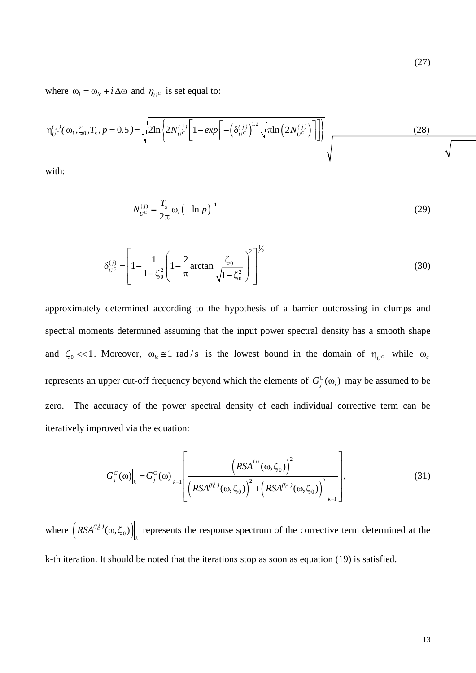where  $\omega_i = \omega_{i} + i \Delta \omega$  and  $\eta_{i} = \omega_{i}$  is set equal to:

$$
\eta_{U^{c}}^{(j)}(\omega_{i}, \zeta_{0}, T_{s}, p = 0.5) = \sqrt{2\ln\left\{2N_{U^{c}}^{(j)}\left[1 - exp\left[-\left(\delta_{U^{c}}^{(j)}\right)^{1.2}\sqrt{\pi\ln\left(2N_{U^{c}}^{(j)}\right)}\right]\right]\right\}}
$$
(28)

with:

$$
N_{U^c}^{(j)} = \frac{T_s}{2\pi} \omega_i \left( -\ln p \right)^{-1}
$$
 (29)

$$
\delta_{U^c}^{(j)} = \left[ 1 - \frac{1}{1 - \zeta_0^2} \left( 1 - \frac{2}{\pi} \arctan \frac{\zeta_0}{\sqrt{1 - \zeta_0^2}} \right)^2 \right]^{1/2}
$$
(30)

 $\overline{1}$ 

approximately determined according to the hypothesis of a barrier outcrossing in clumps and spectral moments determined assuming that the input power spectral density has a smooth shape and  $\zeta_0 \ll 1$ . Moreover,  $\omega_{lc} \approx 1$  rad/s is the lowest bound in the domain of  $\eta_{U^c}$  while  $\omega_c$ represents an upper cut-off frequency beyond which the elements of  $G_j^c(\omega_i)$  may be assumed to be zero. The accuracy of the power spectral density of each individual corrective term can be iteratively improved via the equation:

$$
G_j^C(\omega)\Big|_k = G_j^C(\omega)\Big|_{k-1} \left[ \frac{\left(RSA^{(j)}(\omega,\zeta_0)\right)^2}{\left(RSA^{(f_L^j)}(\omega,\zeta_0)\right)^2 + \left(RSA^{(f_C^j)}(\omega,\zeta_0)\right)^2}\right|_{k-1},
$$
(31)

where  $(RSA^{(f_C^j)}(\omega, \zeta_0))$ *k*  $RSA<sup>(f<sub>c</sub>)</sup>(\omega,\zeta_0)$  represents the response spectrum of the corrective term determined at the k-th iteration. It should be noted that the iterations stop as soon as equation (19) is satisfied.

(27)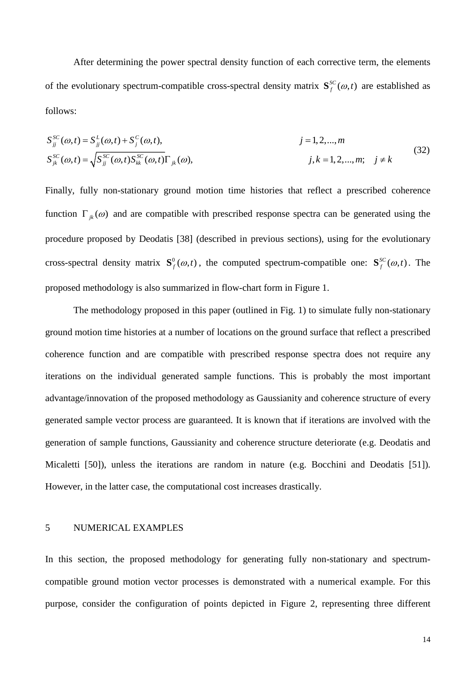After determining the power spectral density function of each corrective term, the elements of the evolutionary spectrum-compatible cross-spectral density matrix  $S_f^{SC}(\omega, t)$  are established as follows:

$$
S_{jj}^{SC}(\omega, t) = S_{jj}^{L}(\omega, t) + S_{j}^{C}(\omega, t),
$$
  
\n
$$
j = 1, 2, ..., m
$$
  
\n
$$
S_{jk}^{SC}(\omega, t) = \sqrt{S_{jj}^{SC}(\omega, t) S_{kk}^{SC}(\omega, t)} \Gamma_{jk}(\omega),
$$
  
\n
$$
j, k = 1, 2, ..., m; \quad j \neq k
$$
\n(32)

Finally, fully non-stationary ground motion time histories that reflect a prescribed coherence function  $\Gamma_{ik}(\omega)$  and are compatible with prescribed response spectra can be generated using the procedure proposed by Deodatis [38] (described in previous sections), using for the evolutionary cross-spectral density matrix  $S_f^0(\omega, t)$ , the computed spectrum-compatible one:  $S_f^{SC}(\omega, t)$ . The proposed methodology is also summarized in flow-chart form in Figure 1.

The methodology proposed in this paper (outlined in Fig. 1) to simulate fully non-stationary ground motion time histories at a number of locations on the ground surface that reflect a prescribed coherence function and are compatible with prescribed response spectra does not require any iterations on the individual generated sample functions. This is probably the most important advantage/innovation of the proposed methodology as Gaussianity and coherence structure of every generated sample vector process are guaranteed. It is known that if iterations are involved with the generation of sample functions, Gaussianity and coherence structure deteriorate (e.g. Deodatis and Micaletti [50]), unless the iterations are random in nature (e.g. Bocchini and Deodatis [51]). However, in the latter case, the computational cost increases drastically.

## 5 NUMERICAL EXAMPLES

In this section, the proposed methodology for generating fully non-stationary and spectrumcompatible ground motion vector processes is demonstrated with a numerical example. For this purpose, consider the configuration of points depicted in Figure 2, representing three different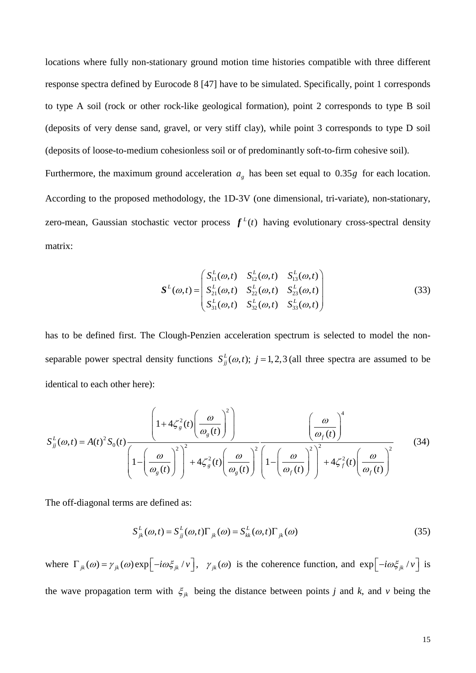locations where fully non-stationary ground motion time histories compatible with three different response spectra defined by Eurocode 8 [47] have to be simulated. Specifically, point 1 corresponds to type A soil (rock or other rock-like geological formation), point 2 corresponds to type B soil (deposits of very dense sand, gravel, or very stiff clay), while point 3 corresponds to type D soil (deposits of loose-to-medium cohesionless soil or of predominantly soft-to-firm cohesive soil).

Furthermore, the maximum ground acceleration  $a<sub>g</sub>$  has been set equal to 0.35*g* for each location. According to the proposed methodology, the 1D-3V (one dimensional, tri-variate), non-stationary, zero-mean, Gaussian stochastic vector process  $f^L(t)$  having evolutionary cross-spectral density matrix:

$$
S^{L}(\omega,t) = \begin{pmatrix} S_{11}^{L}(\omega,t) & S_{12}^{L}(\omega,t) & S_{13}^{L}(\omega,t) \\ S_{21}^{L}(\omega,t) & S_{22}^{L}(\omega,t) & S_{23}^{L}(\omega,t) \\ S_{31}^{L}(\omega,t) & S_{32}^{L}(\omega,t) & S_{33}^{L}(\omega,t) \end{pmatrix}
$$
(33)

has to be defined first. The Clough-Penzien acceleration spectrum is selected to model the nonseparable power spectral density functions  $S_{ij}^L(\omega, t)$ ;  $j = 1, 2, 3$  (all three spectra are assumed to be identical to each other here):

$$
S_{jj}^{L}(\omega,t) = A(t)^{2} S_{0}(t) \frac{\left(1 + 4\zeta_{g}^{2}(t) \left(\frac{\omega}{\omega_{g}(t)}\right)^{2}\right)}{\left(1 - \left(\frac{\omega}{\omega_{g}(t)}\right)^{2}\right)^{2} + 4\zeta_{g}^{2}(t) \left(\frac{\omega}{\omega_{g}(t)}\right)^{2}} \frac{\left(\frac{\omega}{\omega_{f}(t)}\right)^{4}}{\left(1 - \left(\frac{\omega}{\omega_{f}(t)}\right)^{2}\right)^{2} + 4\zeta_{f}^{2}(t) \left(\frac{\omega}{\omega_{f}(t)}\right)^{2}} \qquad (34)
$$

The off-diagonal terms are defined as:

$$
S_{jk}^{L}(\omega,t) = S_{jj}^{L}(\omega,t)\Gamma_{jk}(\omega) = S_{kk}^{L}(\omega,t)\Gamma_{jk}(\omega)
$$
\n(35)

where  $\Gamma_{jk}(\omega) = \gamma_{jk}(\omega) \exp \left[-i\omega \xi_{jk}/v\right]$ ,  $\gamma_{jk}(\omega)$  is the coherence function, and  $\exp \left[-i\omega \xi_{jk}/v\right]$  is the wave propagation term with  $\xi_{jk}$  being the distance between points *j* and *k*, and *v* being the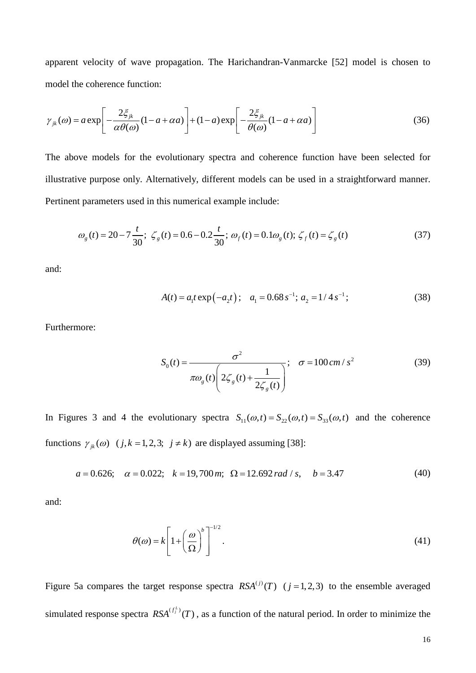apparent velocity of wave propagation. The Harichandran-Vanmarcke [52] model is chosen to model the coherence function:

$$
\gamma_{jk}(\omega) = a \exp\left[-\frac{2\xi_{jk}}{\alpha \theta(\omega)}(1 - a + \alpha a)\right] + (1 - a) \exp\left[-\frac{2\xi_{jk}}{\theta(\omega)}(1 - a + \alpha a)\right]
$$
(36)

The above models for the evolutionary spectra and coherence function have been selected for illustrative purpose only. Alternatively, different models can be used in a straightforward manner. Pertinent parameters used in this numerical example include:

$$
\omega_g(t) = 20 - 7\frac{t}{30}; \ \zeta_g(t) = 0.6 - 0.2\frac{t}{30}; \ \omega_f(t) = 0.1\omega_g(t); \ \zeta_f(t) = \zeta_g(t) \tag{37}
$$

and:

$$
A(t) = a_1 t \exp(-a_2 t); \quad a_1 = 0.68 s^{-1}; \quad a_2 = 1/4 s^{-1}; \tag{38}
$$

Furthermore:

$$
S_0(t) = \frac{\sigma^2}{\pi \omega_g(t) \left(2\zeta_g(t) + \frac{1}{2\zeta_g(t)}\right)}; \quad \sigma = 100 \, \text{cm/s}^2 \tag{39}
$$

In Figures 3 and 4 the evolutionary spectra  $S_{11}(\omega, t) = S_{22}(\omega, t) = S_{33}(\omega, t)$  and the coherence functions  $\gamma_{jk}(\omega)$  ( *j*, *k* = 1, 2, 3; *j*  $\neq$  *k*) are displayed assuming [38]:

$$
a = 0.626;
$$
  $\alpha = 0.022;$   $k = 19,700$  m;  $\Omega = 12.692$  rad/s,  $b = 3.47$  (40)

and:

$$
\theta(\omega) = k \left[ 1 + \left( \frac{\omega}{\Omega} \right)^b \right]^{-1/2} . \tag{41}
$$

Figure 5a compares the target response spectra  $RSA^{(j)}(T)$  ( $j = 1, 2, 3$ ) to the ensemble averaged simulated response spectra  $RSA^{(f_j^L)}(T)$ , as a function of the natural period. In order to minimize the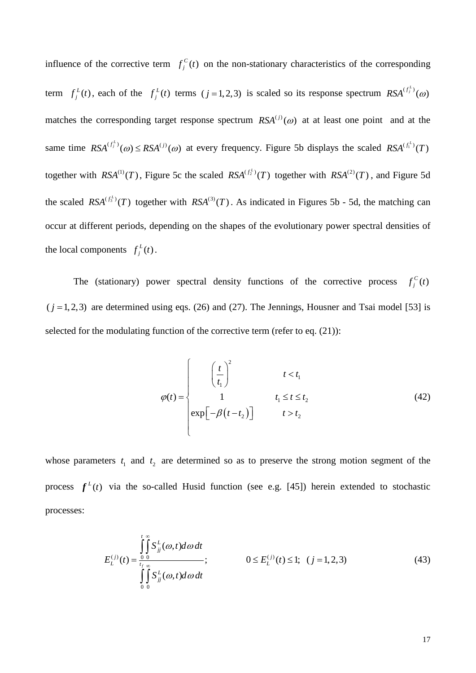influence of the corrective term  $f_j^C(t)$  on the non-stationary characteristics of the corresponding term  $f_j^L(t)$ , each of the  $f_j^L(t)$  terms  $(j=1, 2, 3)$  is scaled so its response spectrum  $RSA^{(f_j^L)}(0)$ matches the corresponding target response spectrum  $RSA^{(j)}( \omega)$  at at least one point and at the same time  $RSA^{(f_i^L)}(\omega) \le RSA^{(j)}(\omega)$  at every frequency. Figure 5b displays the scaled  $RSA^{(f_i^L)}(T)$ together with  $RSA^{(1)}(T)$ , Figure 5c the scaled  $RSA^{(f_2^L)}(T)$  together with  $RSA^{(2)}(T)$ , and Figure 5d the scaled  $RSA^{(f_3)}(T)$  together with  $RSA^{(3)}(T)$ . As indicated in Figures 5b - 5d, the matching can occur at different periods, depending on the shapes of the evolutionary power spectral densities of the local components  $f_j^L(t)$ .

The (stationary) power spectral density functions of the corrective process  $f_j^c(t)$  $(j = 1, 2, 3)$  are determined using eqs. (26) and (27). The Jennings, Housner and Tsai model [53] is selected for the modulating function of the corrective term (refer to eq. (21)):

$$
\varphi(t) = \begin{cases}\n\left(\frac{t}{t_1}\right)^2 & t < t_1 \\
1 & t_1 \le t \le t_2 \\
\exp\left[-\beta\left(t - t_2\right)\right] & t > t_2\n\end{cases}
$$
\n(42)

whose parameters  $t_1$  and  $t_2$  are determined so as to preserve the strong motion segment of the process  $f<sup>L</sup>(t)$  via the so-called Husid function (see e.g. [45]) herein extended to stochastic processes:

$$
E_L^{(j)}(t) = \frac{\int_{0}^{t} \int_{0}^{\infty} S_{jj}^L(\omega, t) d\omega dt}{\int_{0}^{t} \int_{0}^{\infty} S_{jj}^L(\omega, t) d\omega dt}; \qquad \qquad 0 \le E_L^{(j)}(t) \le 1; \quad (j = 1, 2, 3)
$$
 (43)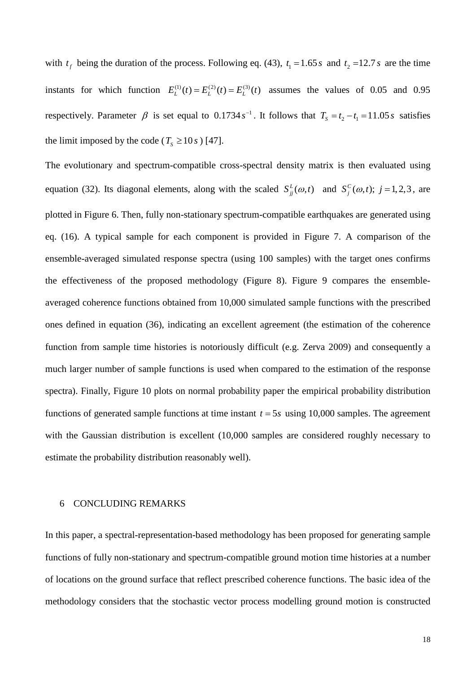with  $t_f$  being the duration of the process. Following eq. (43),  $t_1 = 1.65 s$  and  $t_2 = 12.7 s$  are the time instants for which function  $E_L^{(1)}(t) = E_L^{(2)}(t) = E_L^{(3)}(t)$  assumes the values of 0.05 and 0.95 respectively. Parameter  $\beta$  is set equal to 0.1734 *s*<sup>-1</sup>. It follows that  $T_s = t_2 - t_1 = 11.05 s$  satisfies the limit imposed by the code ( $T_s \ge 10 s$ ) [47].

The evolutionary and spectrum-compatible cross-spectral density matrix is then evaluated using equation (32). Its diagonal elements, along with the scaled  $S_{ij}^L(\omega, t)$  and  $S_j^C(\omega, t)$ ;  $j = 1, 2, 3$ , are plotted in Figure 6. Then, fully non-stationary spectrum-compatible earthquakes are generated using eq. (16). A typical sample for each component is provided in Figure 7. A comparison of the ensemble-averaged simulated response spectra (using 100 samples) with the target ones confirms the effectiveness of the proposed methodology (Figure 8). Figure 9 compares the ensembleaveraged coherence functions obtained from 10,000 simulated sample functions with the prescribed ones defined in equation (36), indicating an excellent agreement (the estimation of the coherence function from sample time histories is notoriously difficult (e.g. Zerva 2009) and consequently a much larger number of sample functions is used when compared to the estimation of the response spectra). Finally, Figure 10 plots on normal probability paper the empirical probability distribution functions of generated sample functions at time instant  $t = 5s$  using 10,000 samples. The agreement with the Gaussian distribution is excellent (10,000 samples are considered roughly necessary to estimate the probability distribution reasonably well).

### 6 CONCLUDING REMARKS

In this paper, a spectral-representation-based methodology has been proposed for generating sample functions of fully non-stationary and spectrum-compatible ground motion time histories at a number of locations on the ground surface that reflect prescribed coherence functions. The basic idea of the methodology considers that the stochastic vector process modelling ground motion is constructed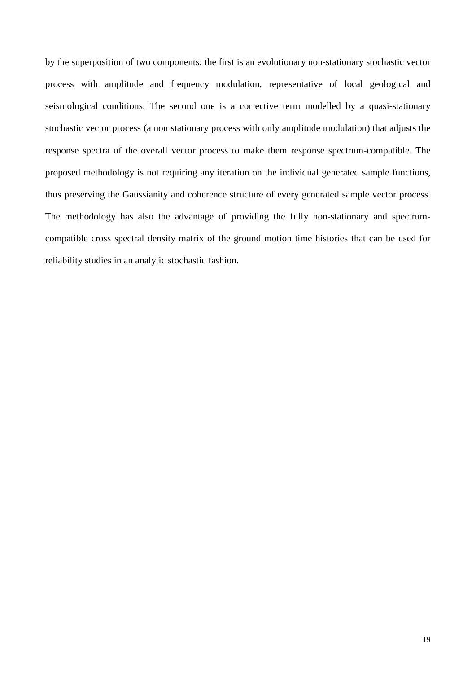by the superposition of two components: the first is an evolutionary non-stationary stochastic vector process with amplitude and frequency modulation, representative of local geological and seismological conditions. The second one is a corrective term modelled by a quasi-stationary stochastic vector process (a non stationary process with only amplitude modulation) that adjusts the response spectra of the overall vector process to make them response spectrum-compatible. The proposed methodology is not requiring any iteration on the individual generated sample functions, thus preserving the Gaussianity and coherence structure of every generated sample vector process. The methodology has also the advantage of providing the fully non-stationary and spectrumcompatible cross spectral density matrix of the ground motion time histories that can be used for reliability studies in an analytic stochastic fashion.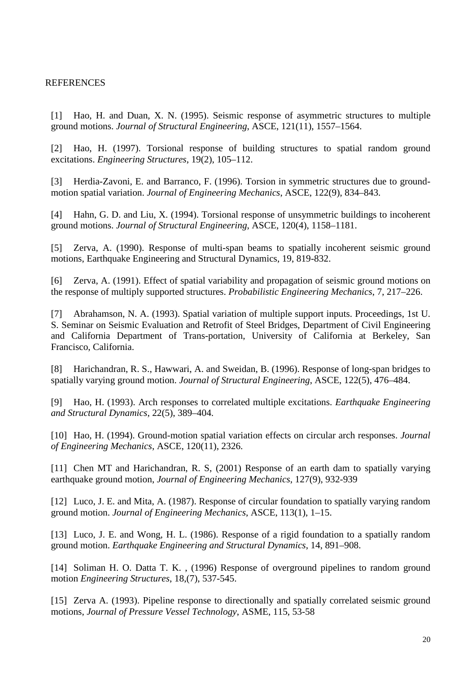## REFERENCES

[1] Hao, H. and Duan, X. N. (1995). Seismic response of asymmetric structures to multiple ground motions. *Journal of Structural Engineering*, ASCE, 121(11), 1557–1564.

[2] Hao, H. (1997). Torsional response of building structures to spatial random ground excitations. *Engineering Structures*, 19(2), 105–112.

[3] Herdia-Zavoni, E. and Barranco, F. (1996). Torsion in symmetric structures due to groundmotion spatial variation. *Journal of Engineering Mechanics*, ASCE, 122(9), 834–843.

[4] Hahn, G. D. and Liu, X. (1994). Torsional response of unsymmetric buildings to incoherent ground motions. *Journal of Structural Engineering*, ASCE, 120(4), 1158–1181.

[5] Zerva, A. (1990). Response of multi-span beams to spatially incoherent seismic ground motions, Earthquake Engineering and Structural Dynamics, 19, 819-832.

[6] Zerva, A. (1991). Effect of spatial variability and propagation of seismic ground motions on the response of multiply supported structures. *Probabilistic Engineering Mechanics*, 7, 217–226.

[7] Abrahamson, N. A. (1993). Spatial variation of multiple support inputs. Proceedings, 1st U. S. Seminar on Seismic Evaluation and Retrofit of Steel Bridges, Department of Civil Engineering and California Department of Trans-portation, University of California at Berkeley, San Francisco, California.

[8] Harichandran, R. S., Hawwari, A. and Sweidan, B. (1996). Response of long-span bridges to spatially varying ground motion. *Journal of Structural Engineering*, ASCE, 122(5), 476–484.

[9] Hao, H. (1993). Arch responses to correlated multiple excitations. *Earthquake Engineering and Structural Dynamics*, 22(5), 389–404.

[10] Hao, H. (1994). Ground-motion spatial variation effects on circular arch responses. *Journal of Engineering Mechanics*, ASCE, 120(11), 2326.

[11] Chen MT and Harichandran, R. S, (2001) Response of an earth dam to spatially varying earthquake ground motion, *Journal of Engineering Mechanics*, 127(9), 932-939

[12] Luco, J. E. and Mita, A. (1987). Response of circular foundation to spatially varying random ground motion. *Journal of Engineering Mechanics*, ASCE, 113(1), 1–15.

[13] Luco, J. E. and Wong, H. L. (1986). Response of a rigid foundation to a spatially random ground motion. *Earthquake Engineering and Structural Dynamics*, 14, 891–908.

[14] Soliman H. O. Datta T. K., (1996) Response of overground pipelines to random ground motion *Engineering Structures*, 18,(7), 537-545.

[15] Zerva A. (1993). Pipeline response to directionally and spatially correlated seismic ground motions, *Journal of Pressure Vessel Technology*, ASME, 115, 53-58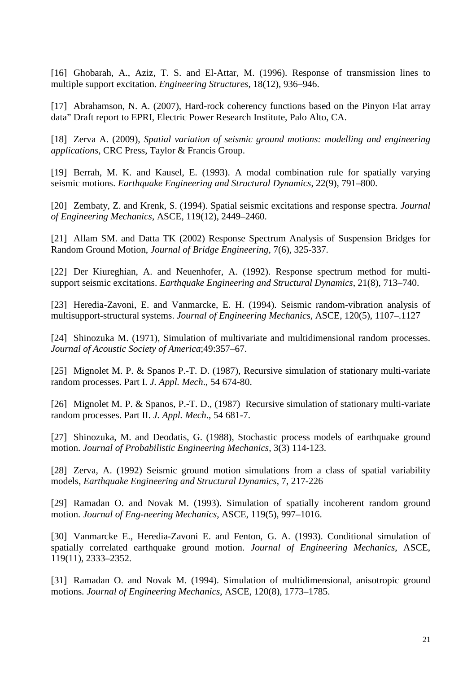[16] Ghobarah, A., Aziz, T. S. and El-Attar, M. (1996). Response of transmission lines to multiple support excitation. *Engineering Structures*, 18(12), 936–946.

[17] Abrahamson, N. A. (2007), Hard-rock coherency functions based on the Pinyon Flat array data" Draft report to EPRI, Electric Power Research Institute, Palo Alto, CA.

[18] Zerva A. (2009), *Spatial variation of seismic ground motions: modelling and engineering applications*, CRC Press, Taylor & Francis Group.

[19] Berrah, M. K. and Kausel, E. (1993). A modal combination rule for spatially varying seismic motions. *Earthquake Engineering and Structural Dynamics*, 22(9), 791–800.

[20] Zembaty, Z. and Krenk, S. (1994). Spatial seismic excitations and response spectra. *Journal of Engineering Mechanics*, ASCE, 119(12), 2449–2460.

[21] Allam SM. and Datta TK (2002) Response Spectrum Analysis of Suspension Bridges for Random Ground Motion, *Journal of Bridge Engineering*, 7(6), 325-337.

[22] Der Kiureghian, A. and Neuenhofer, A. (1992). Response spectrum method for multisupport seismic excitations. *Earthquake Engineering and Structural Dynamics*, 21(8), 713–740.

[23] Heredia-Zavoni, E. and Vanmarcke, E. H. (1994). Seismic random-vibration analysis of multisupport-structural systems. *Journal of Engineering Mechanics*, ASCE, 120(5), 1107–.1127

[24] Shinozuka M. (1971), Simulation of multivariate and multidimensional random processes. *Journal of Acoustic Society of America*;49:357–67.

[25] Mignolet M. P. & Spanos P.-T. D. (1987), Recursive simulation of stationary multi-variate random processes. Part I. *J. Appl. Mech*., 54 674-80.

[26] Mignolet M. P. & Spanos, P.-T. D., (1987) Recursive simulation of stationary multi-variate random processes. Part II. *J. Appl. Mech*., 54 681-7.

[27] Shinozuka, M. and Deodatis, G. (1988), Stochastic process models of earthquake ground motion. *Journal of Probabilistic Engineering Mechanics*, 3(3) 114-123.

[28] Zerva, A. (1992) Seismic ground motion simulations from a class of spatial variability models, *Earthquake Engineering and Structural Dynamics*, 7, 217-226

[29] Ramadan O. and Novak M. (1993). Simulation of spatially incoherent random ground motion. *Journal of Eng-neering Mechanics*, ASCE, 119(5), 997–1016.

[30] Vanmarcke E., Heredia-Zavoni E. and Fenton, G. A. (1993). Conditional simulation of spatially correlated earthquake ground motion. *Journal of Engineering Mechanics*, ASCE, 119(11), 2333–2352.

[31] Ramadan O. and Novak M. (1994). Simulation of multidimensional, anisotropic ground motions*. Journal of Engineering Mechanics*, ASCE, 120(8), 1773–1785.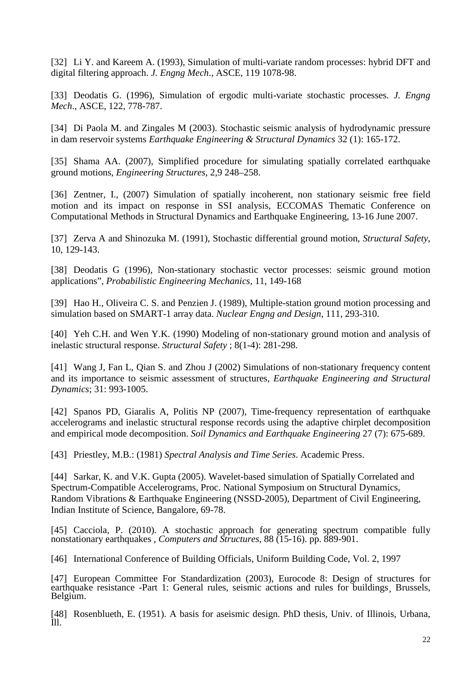[32] Li Y. and Kareem A. (1993), Simulation of multi-variate random processes: hybrid DFT and digital filtering approach. *J. Engng Mech*., ASCE, 119 1078-98.

[33] Deodatis G. (1996), Simulation of ergodic multi-variate stochastic processes. *J. Engng Mech*., ASCE, 122, 778-787.

[34] Di Paola M. and Zingales M (2003). Stochastic seismic analysis of hydrodynamic pressure in dam reservoir systems *Earthquake Engineering & Structural Dynamics* 32 (1): 165-172.

[35] Shama AA. (2007), Simplified procedure for simulating spatially correlated earthquake ground motions, *Engineering Structures*, 2,9 248–258.

[36] Zentner, I., (2007) Simulation of spatially incoherent, non stationary seismic free field motion and its impact on response in SSI analysis, ECCOMAS Thematic Conference on Computational Methods in Structural Dynamics and Earthquake Engineering, 13-16 June 2007.

[37] Zerva A and Shinozuka M. (1991), Stochastic differential ground motion, *Structural Safety*, 10, 129-143.

[38] Deodatis G (1996), Non-stationary stochastic vector processes: seismic ground motion applications", *Probabilistic Engineering Mechanics,* 11, 149-168

[39] Hao H., Oliveira C. S. and Penzien J. (1989), Multiple-station ground motion processing and simulation based on SMART-1 array data. *Nuclear Engng and Design*, 111, 293-310.

[40] Yeh C.H. and Wen Y.K. (1990) Modeling of non-stationary ground motion and analysis of inelastic structural response. *Structural Safety* ; 8(1-4): 281-298.

[41] Wang J, Fan L, Qian S. and Zhou J (2002) Simulations of non-stationary frequency content and its importance to seismic assessment of structures, *Earthquake Engineering and Structural Dynamics*; 31: 993-1005.

[42] Spanos PD, Giaralis A, Politis NP (2007), Time-frequency representation of earthquake accelerograms and inelastic structural response records using the adaptive chirplet decomposition and empirical mode decomposition. *Soil Dynamics and Earthquake Engineering* 27 (7): 675-689.

[43] Priestley, M.B.: (1981) *Spectral Analysis and Time Series*. Academic Press.

[44] Sarkar, K. and V.K. Gupta (2005). Wavelet-based simulation of Spatially Correlated and [Spectrum-Compatible Accelerograms, Proc. National Symposium on Structural Dynamics,](http://home.iitk.ac.in/~vinaykg/pap62.pdf)  [Random Vibrations & Earthquake Engineering \(NSSD-2005\), Department of Civil Engineering,](http://home.iitk.ac.in/~vinaykg/pap62.pdf)  [Indian Institute of Science, Bangalore, 69-78.](http://home.iitk.ac.in/~vinaykg/pap62.pdf)

[45] Cacciola, P. (2010). A stochastic approach for generating spectrum compatible fully [nonstationary earthquakes](http://eprints.brighton.ac.uk/7202/) , *Computers and Structures*, 88 (15-16). pp. 889-901.

[46] International Conference of Building Officials, Uniform Building Code, Vol. 2, 1997

[47] European Committee For Standardization (2003), Eurocode 8: Design of structures for earthquake resistance -Part 1: General rules, seismic actions and rules for buildings, Brussels, Belgium.

[48] Rosenblueth, E. (1951). A basis for aseismic design. PhD thesis, Univ. of Illinois, Urbana, Ill.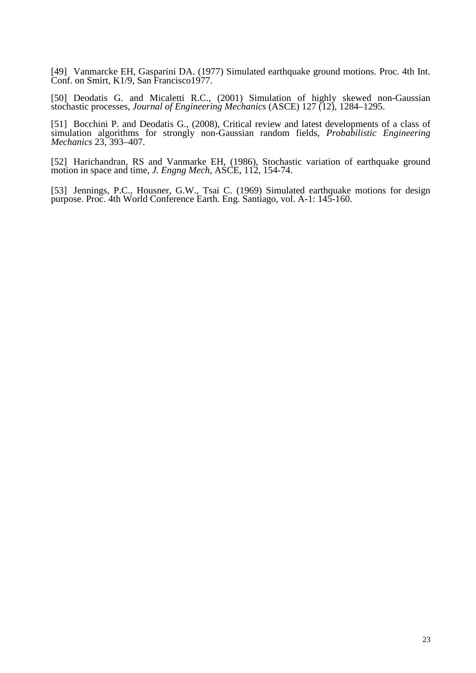[49] Vanmarcke EH, Gasparini DA. (1977) Simulated earthquake ground motions. Proc. 4th Int. Conf. on Smirt, K1/9, San Francisco1977.

[50] Deodatis G. and Micaletti R.C., (2001) Simulation of highly skewed non-Gaussian stochastic processes, *Journal of Engineering Mechanics* (ASCE) 127 (12), 1284–1295.

[51] Bocchini P. and Deodatis G., (2008), Critical review and latest developments of a class of simulation algorithms for strongly non-Gaussian random fields, *Probabilistic Engineering Mechanics* 23, 393–407.

[52] Harichandran, RS and Vanmarke EH, (1986), Stochastic variation of earthquake ground motion in space and time, *J. Engng Mech*, ASCE, 112, 154-74.

[53] Jennings, P.C., Housner, G.W., Tsai C. (1969) Simulated earthquake motions for design purpose. Proc. 4th World Conference Earth. Eng. Santiago, vol. A-1: 145-160.